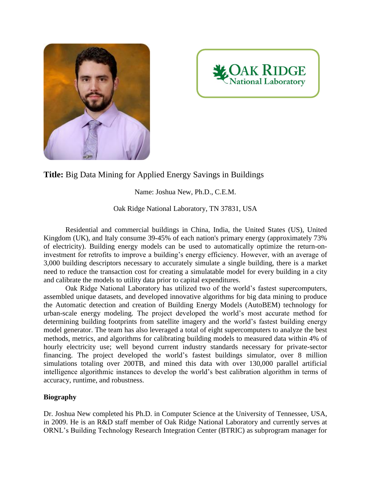



## **Title:** Big Data Mining for Applied Energy Savings in Buildings

Name: Joshua New, Ph.D., C.E.M.

Oak Ridge National Laboratory, TN 37831, USA

Residential and commercial buildings in China, India, the United States (US), United Kingdom (UK), and Italy consume 39-45% of each nation's primary energy (approximately 73% of electricity). Building energy models can be used to automatically optimize the return-oninvestment for retrofits to improve a building's energy efficiency. However, with an average of 3,000 building descriptors necessary to accurately simulate a single building, there is a market need to reduce the transaction cost for creating a simulatable model for every building in a city and calibrate the models to utility data prior to capital expenditures.

Oak Ridge National Laboratory has utilized two of the world's fastest supercomputers, assembled unique datasets, and developed innovative algorithms for big data mining to produce the Automatic detection and creation of Building Energy Models (AutoBEM) technology for urban-scale energy modeling. The project developed the world's most accurate method for determining building footprints from satellite imagery and the world's fastest building energy model generator. The team has also leveraged a total of eight supercomputers to analyze the best methods, metrics, and algorithms for calibrating building models to measured data within 4% of hourly electricity use; well beyond current industry standards necessary for private-sector financing. The project developed the world's fastest buildings simulator, over 8 million simulations totaling over 200TB, and mined this data with over 130,000 parallel artificial intelligence algorithmic instances to develop the world's best calibration algorithm in terms of accuracy, runtime, and robustness.

## **Biography**

Dr. Joshua New completed his Ph.D. in Computer Science at the University of Tennessee, USA, in 2009. He is an R&D staff member of Oak Ridge National Laboratory and currently serves at ORNL's Building Technology Research Integration Center (BTRIC) as subprogram manager for